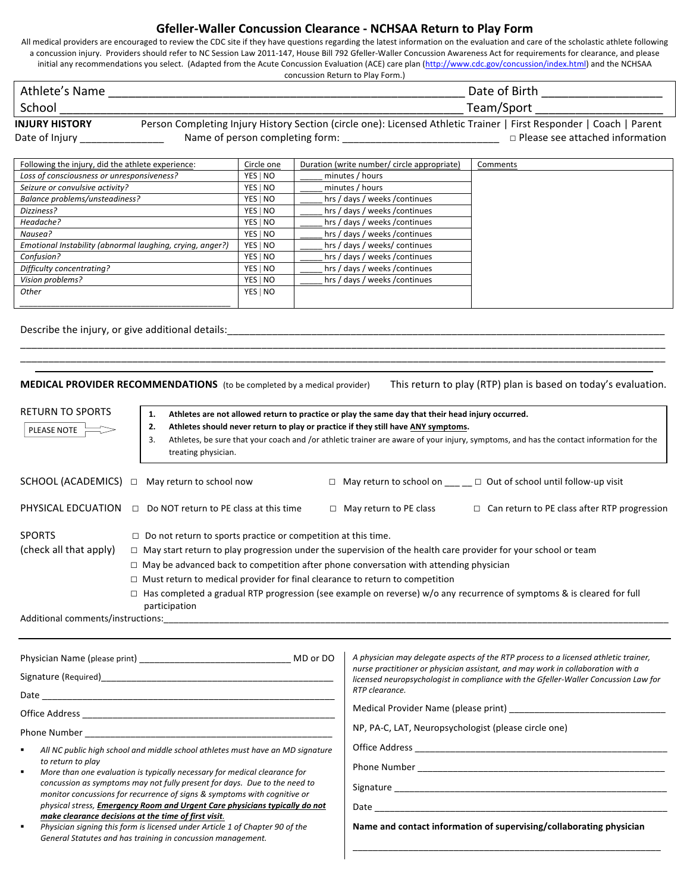## **Gfeller-Waller Concussion Clearance - NCHSAA Return to Play Form**

All medical providers are encouraged to review the CDC site if they have questions regarding the latest information on the evaluation and care of the scholastic athlete following a concussion injury. Providers should refer to NC Session Law 2011-147, House Bill 792 Gfeller-Waller Concussion Awareness Act for requirements for clearance, and please initial any recommendations you select. (Adapted from the Acute Concussion Evaluation (ACE) care plan (http://www.cdc.gov/concussion/index.html) and the NCHSAA concussion Return to Play Form.)

| Athlete's Name        | Date of Birth                                                                                                       |
|-----------------------|---------------------------------------------------------------------------------------------------------------------|
| School                | Team/Sport                                                                                                          |
| <b>INJURY HISTORY</b> | Person Completing Injury History Section (circle one): Licensed Athletic Trainer   First Responder   Coach   Parent |

| וחטוכות וחטניוו | r crson Completing mjury mstory section (circle one). Licensed Atmetic Framer   First Responder   Coach   Farent |                                        |
|-----------------|------------------------------------------------------------------------------------------------------------------|----------------------------------------|
| Date of Injury  | Name of person completing form:                                                                                  | $\Box$ Please see attached information |

| Following the injury, did the athlete experience:         | Circle one | Duration (write number/ circle appropriate) | Comments |
|-----------------------------------------------------------|------------|---------------------------------------------|----------|
| Loss of consciousness or unresponsiveness?                | YES   NO   | minutes / hours                             |          |
| Seizure or convulsive activity?                           | YES   NO   | minutes / hours                             |          |
| Balance problems/unsteadiness?                            | YES   NO   | hrs / days / weeks / continues              |          |
| Dizziness?                                                | YES   NO   | hrs / days / weeks / continues              |          |
| Headache?                                                 | YES   NO   | hrs / days / weeks / continues              |          |
| Nausea?                                                   | YES   NO   | hrs / days / weeks / continues              |          |
| Emotional Instability (abnormal laughing, crying, anger?) | YES   NO   | hrs / days / weeks/ continues               |          |
| Confusion?                                                | YES   NO   | hrs / days / weeks / continues              |          |
| Difficulty concentrating?                                 | YES   NO   | hrs / days / weeks / continues              |          |
| Vision problems?                                          | YES   NO   | hrs / days / weeks / continues              |          |
| Other                                                     | YES   NO   |                                             |          |
|                                                           |            |                                             |          |

\_\_\_\_\_\_\_\_\_\_\_\_\_\_\_\_\_\_\_\_\_\_\_\_\_\_\_\_\_\_\_\_\_\_\_\_\_\_\_\_\_\_\_\_\_\_\_\_\_\_\_\_\_\_\_\_\_\_\_\_\_\_\_\_\_\_\_\_\_\_\_\_\_\_\_\_\_\_\_\_\_\_\_\_\_\_\_\_\_\_\_\_\_\_\_\_\_\_\_\_\_\_\_\_\_\_\_\_\_\_\_\_\_\_\_

Describe the injury, or give additional details: \_\_\_\_\_\_\_\_\_\_\_\_\_\_\_\_\_\_\_\_\_\_\_\_\_\_\_\_\_\_\_

MEDICAL PROVIDER RECOMMENDATIONS (to be completed by a medical provider) This return to play (RTP) plan is based on today's evaluation.

\_\_\_\_\_\_\_\_\_\_\_\_\_\_\_\_\_\_\_\_\_\_\_\_\_\_\_\_\_\_\_\_\_\_\_\_\_\_\_\_\_\_\_\_\_\_\_\_\_\_\_\_\_\_\_\_\_\_\_\_\_\_\_\_\_\_\_\_\_\_\_\_\_\_\_\_\_\_\_\_\_\_\_\_\_\_\_\_\_\_\_\_\_\_\_\_\_\_\_\_\_\_\_\_\_\_\_\_\_\_\_\_\_\_\_

| <b>RETURN TO SPORTS</b><br>PLEASE NOTE  | Athletes are not allowed return to practice or play the same day that their head injury occurred.<br>1.<br>Athletes should never return to play or practice if they still have ANY symptoms.<br>2.<br>Athletes, be sure that your coach and /or athletic trainer are aware of your injury, symptoms, and has the contact information for the<br>3.<br>treating physician.                                                                                                                                                             |                               |                                                                                       |
|-----------------------------------------|---------------------------------------------------------------------------------------------------------------------------------------------------------------------------------------------------------------------------------------------------------------------------------------------------------------------------------------------------------------------------------------------------------------------------------------------------------------------------------------------------------------------------------------|-------------------------------|---------------------------------------------------------------------------------------|
|                                         | $SCHOOL (ACADEMICS) \quad \Box$ May return to school now                                                                                                                                                                                                                                                                                                                                                                                                                                                                              |                               | □ May return to school on $\_\_\_\_\_\_\$ $\_\_\$ Out of school until follow-up visit |
| PHYSICAL EDCUATION                      | Do NOT return to PE class at this time<br>$\Box$                                                                                                                                                                                                                                                                                                                                                                                                                                                                                      | $\Box$ May return to PE class | $\Box$ Can return to PE class after RTP progression                                   |
| <b>SPORTS</b><br>(check all that apply) | $\Box$ Do not return to sports practice or competition at this time.<br>$\Box$ May start return to play progression under the supervision of the health care provider for your school or team<br>$\Box$ May be advanced back to competition after phone conversation with attending physician<br>$\Box$ Must return to medical provider for final clearance to return to competition<br>$\Box$ Has completed a gradual RTP progression (see example on reverse) w/o any recurrence of symptoms & is cleared for full<br>participation |                               |                                                                                       |

Additional comments/instructions:

| MD or DO                                                                                                                                                                                                                                                                                                                                                                                                                                                                                                                                                                                                                                       | A physician may delegate aspects of the RTP process to a licensed athletic trainer,<br>nurse practitioner or physician assistant, and may work in collaboration with a<br>licensed neuropsychologist in compliance with the Gfeller-Waller Concussion Law for |  |
|------------------------------------------------------------------------------------------------------------------------------------------------------------------------------------------------------------------------------------------------------------------------------------------------------------------------------------------------------------------------------------------------------------------------------------------------------------------------------------------------------------------------------------------------------------------------------------------------------------------------------------------------|---------------------------------------------------------------------------------------------------------------------------------------------------------------------------------------------------------------------------------------------------------------|--|
| Signature (Required) and the state of the state of the state of the state of the state of the state of the state of the state of the state of the state of the state of the state of the state of the state of the state of th                                                                                                                                                                                                                                                                                                                                                                                                                 |                                                                                                                                                                                                                                                               |  |
|                                                                                                                                                                                                                                                                                                                                                                                                                                                                                                                                                                                                                                                | RTP clearance.                                                                                                                                                                                                                                                |  |
| Office Address ______________                                                                                                                                                                                                                                                                                                                                                                                                                                                                                                                                                                                                                  |                                                                                                                                                                                                                                                               |  |
| Phone Number <b>Example 2</b>                                                                                                                                                                                                                                                                                                                                                                                                                                                                                                                                                                                                                  | NP, PA-C, LAT, Neuropsychologist (please circle one)                                                                                                                                                                                                          |  |
| All NC public high school and middle school athletes must have an MD signature<br>٠<br>to return to play<br>More than one evaluation is typically necessary for medical clearance for<br>٠<br>concussion as symptoms may not fully present for days. Due to the need to<br>monitor concussions for recurrence of signs & symptoms with cognitive or<br>physical stress, Emergency Room and Urgent Care physicians typically do not<br>make clearance decisions at the time of first visit.<br>Physician signing this form is licensed under Article 1 of Chapter 90 of the<br>٠<br>General Statutes and has training in concussion management. | Phone Number <b>Example 20</b><br>Signature ________________<br>Date and the state of the state of the state of the state of the state of the state of the state of the state<br>Name and contact information of supervising/collaborating physician          |  |